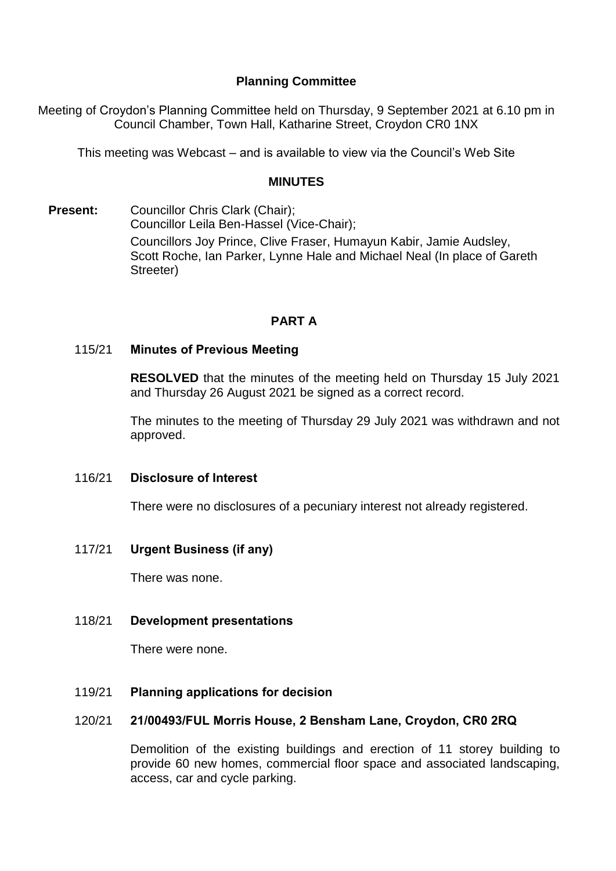## **Planning Committee**

Meeting of Croydon's Planning Committee held on Thursday, 9 September 2021 at 6.10 pm in Council Chamber, Town Hall, Katharine Street, Croydon CR0 1NX

This meeting was Webcast – and is available to view via the Council's Web Site

#### **MINUTES**

**Present:** Councillor Chris Clark (Chair): Councillor Leila Ben-Hassel (Vice-Chair); Councillors Joy Prince, Clive Fraser, Humayun Kabir, Jamie Audsley, Scott Roche, Ian Parker, Lynne Hale and Michael Neal (In place of Gareth Streeter)

# **PART A**

### 115/21 **Minutes of Previous Meeting**

**RESOLVED** that the minutes of the meeting held on Thursday 15 July 2021 and Thursday 26 August 2021 be signed as a correct record.

The minutes to the meeting of Thursday 29 July 2021 was withdrawn and not approved.

#### 116/21 **Disclosure of Interest**

There were no disclosures of a pecuniary interest not already registered.

### 117/21 **Urgent Business (if any)**

There was none.

### 118/21 **Development presentations**

There were none.

### 119/21 **Planning applications for decision**

### 120/21 **21/00493/FUL Morris House, 2 Bensham Lane, Croydon, CR0 2RQ**

Demolition of the existing buildings and erection of 11 storey building to provide 60 new homes, commercial floor space and associated landscaping, access, car and cycle parking.